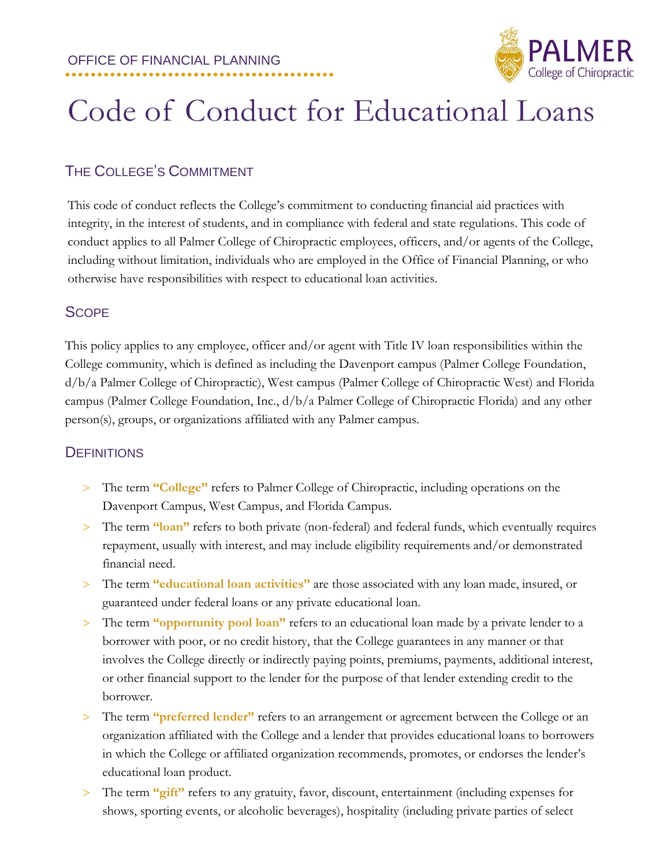

# Code of Conduct for Educational Loans

# THE COLLEGE'S COMMITMENT

This code of conduct reflects the College's commitment to conducting financial aid practices with integrity, in the interest of students, and in compliance with federal and state regulations. This code of conduct applies to all Palmer College of Chiropractic employees, officers, and/or agents of the College, including without limitation, individuals who are employed in the Office of Financial Planning, or who otherwise have responsibilities with respect to educational loan activities.

#### **SCOPE**

This policy applies to any employee, officer and/or agent with Title IV loan responsibilities within the College community, which is defined as including the Davenport campus (Palmer College Foundation, d/b/a Palmer College of Chiropractic), West campus (Palmer College of Chiropractic West) and Florida campus (Palmer College Foundation, Inc., d/b/a Palmer College of Chiropractic Florida) and any other person(s), groups, or organizations affiliated with any Palmer campus.

#### **DEFINITIONS**

- The term **"College"** refers to Palmer College of Chiropractic, including operations on the Davenport Campus, West Campus, and Florida Campus.
- The term **"loan"** refers to both private (non-federal) and federal funds, which eventually requires repayment, usually with interest, and may include eligibility requirements and/or demonstrated financial need.
- The term **"educational loan activities"** are those associated with any loan made, insured, or guaranteed under federal loans or any private educational loan.
- The term **"opportunity pool loan"** refers to an educational loan made by a private lender to a borrower with poor, or no credit history, that the College guarantees in any manner or that involves the College directly or indirectly paying points, premiums, payments, additional interest, or other financial support to the lender for the purpose of that lender extending credit to the borrower.
- The term **"preferred lender"** refers to an arrangement or agreement between the College or an organization affiliated with the College and a lender that provides educational loans to borrowers in which the College or affiliated organization recommends, promotes, or endorses the lender's educational loan product.
- The term **"gift"** refers to any gratuity, favor, discount, entertainment (including expenses for shows, sporting events, or alcoholic beverages), hospitality (including private parties of select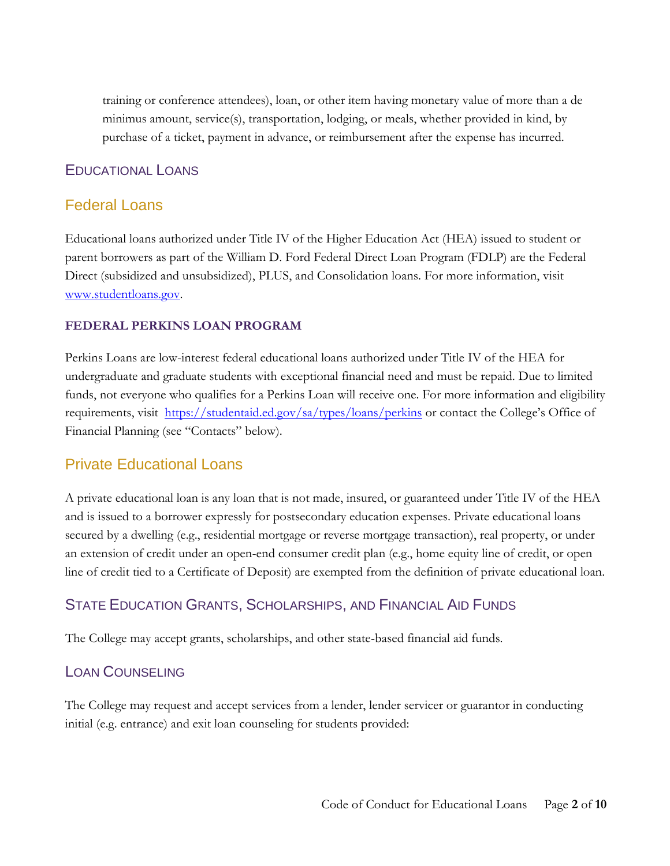training or conference attendees), loan, or other item having monetary value of more than a de minimus amount, service(s), transportation, lodging, or meals, whether provided in kind, by purchase of a ticket, payment in advance, or reimbursement after the expense has incurred.

#### EDUCATIONAL LOANS

#### Federal Loans

Educational loans authorized under Title IV of the Higher Education Act (HEA) issued to student or parent borrowers as part of the William D. Ford Federal Direct Loan Program (FDLP) are the Federal Direct (subsidized and unsubsidized), PLUS, and Consolidation loans. For more information, visit [www.studentloans.gov.](http://www.studentloans.gov/)

#### **FEDERAL PERKINS LOAN PROGRAM**

Perkins Loans are low-interest federal educational loans authorized under Title IV of the HEA for undergraduate and graduate students with exceptional financial need and must be repaid. Due to limited funds, not everyone who qualifies for a Perkins Loan will receive one. For more information and eligibility requirements, visit <https://studentaid.ed.gov/sa/types/loans/perkins> or contact the College's Office of Financial Planning (see "Contacts" below).

#### Private Educational Loans

A private educational loan is any loan that is not made, insured, or guaranteed under Title IV of the HEA and is issued to a borrower expressly for postsecondary education expenses. Private educational loans secured by a dwelling (e.g., residential mortgage or reverse mortgage transaction), real property, or under an extension of credit under an open-end consumer credit plan (e.g., home equity line of credit, or open line of credit tied to a Certificate of Deposit) are exempted from the definition of private educational loan.

#### STATE EDUCATION GRANTS, SCHOLARSHIPS, AND FINANCIAL AID FUNDS

The College may accept grants, scholarships, and other state-based financial aid funds.

#### LOAN COUNSELING

The College may request and accept services from a lender, lender servicer or guarantor in conducting initial (e.g. entrance) and exit loan counseling for students provided: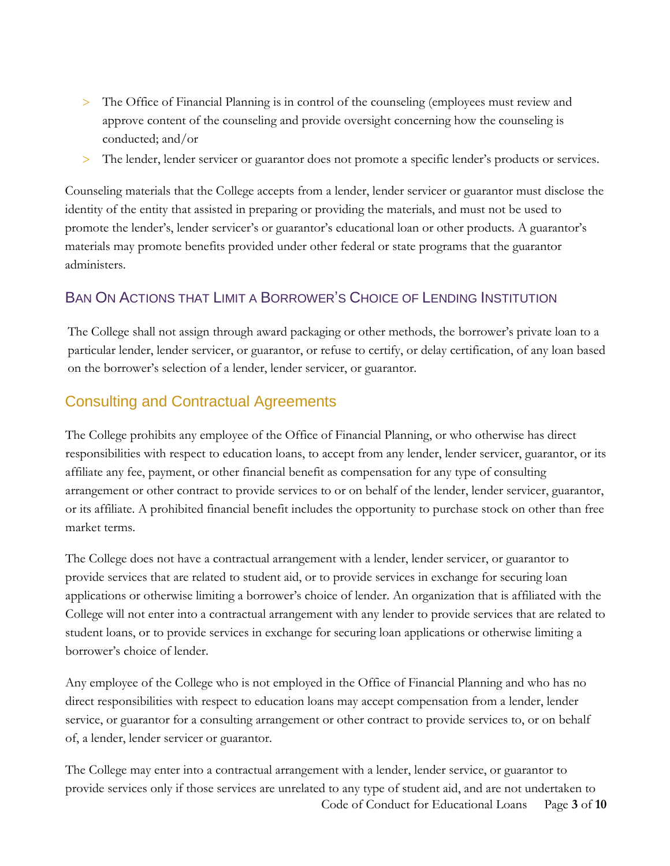- > The Office of Financial Planning is in control of the counseling (employees must review and approve content of the counseling and provide oversight concerning how the counseling is conducted; and/or
- The lender, lender servicer or guarantor does not promote a specific lender's products or services.

Counseling materials that the College accepts from a lender, lender servicer or guarantor must disclose the identity of the entity that assisted in preparing or providing the materials, and must not be used to promote the lender's, lender servicer's or guarantor's educational loan or other products. A guarantor's materials may promote benefits provided under other federal or state programs that the guarantor administers.

#### BAN ON ACTIONS THAT LIMIT A BORROWER'S CHOICE OF LENDING INSTITUTION

The College shall not assign through award packaging or other methods, the borrower's private loan to a particular lender, lender servicer, or guarantor, or refuse to certify, or delay certification, of any loan based on the borrower's selection of a lender, lender servicer, or guarantor.

# Consulting and Contractual Agreements

The College prohibits any employee of the Office of Financial Planning, or who otherwise has direct responsibilities with respect to education loans, to accept from any lender, lender servicer, guarantor, or its affiliate any fee, payment, or other financial benefit as compensation for any type of consulting arrangement or other contract to provide services to or on behalf of the lender, lender servicer, guarantor, or its affiliate. A prohibited financial benefit includes the opportunity to purchase stock on other than free market terms.

The College does not have a contractual arrangement with a lender, lender servicer, or guarantor to provide services that are related to student aid, or to provide services in exchange for securing loan applications or otherwise limiting a borrower's choice of lender. An organization that is affiliated with the College will not enter into a contractual arrangement with any lender to provide services that are related to student loans, or to provide services in exchange for securing loan applications or otherwise limiting a borrower's choice of lender.

Any employee of the College who is not employed in the Office of Financial Planning and who has no direct responsibilities with respect to education loans may accept compensation from a lender, lender service, or guarantor for a consulting arrangement or other contract to provide services to, or on behalf of, a lender, lender servicer or guarantor.

Code of Conduct for Educational Loans Page **3** of **10** The College may enter into a contractual arrangement with a lender, lender service, or guarantor to provide services only if those services are unrelated to any type of student aid, and are not undertaken to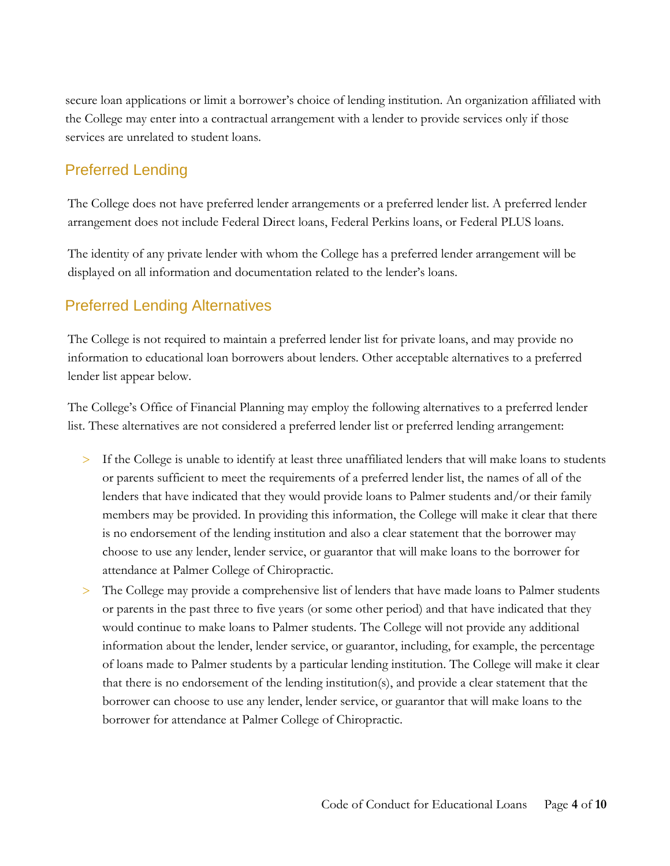secure loan applications or limit a borrower's choice of lending institution. An organization affiliated with the College may enter into a contractual arrangement with a lender to provide services only if those services are unrelated to student loans.

# Preferred Lending

The College does not have preferred lender arrangements or a preferred lender list. A preferred lender arrangement does not include Federal Direct loans, Federal Perkins loans, or Federal PLUS loans.

The identity of any private lender with whom the College has a preferred lender arrangement will be displayed on all information and documentation related to the lender's loans.

### Preferred Lending Alternatives

The College is not required to maintain a preferred lender list for private loans, and may provide no information to educational loan borrowers about lenders. Other acceptable alternatives to a preferred lender list appear below.

The College's Office of Financial Planning may employ the following alternatives to a preferred lender list. These alternatives are not considered a preferred lender list or preferred lending arrangement:

- If the College is unable to identify at least three unaffiliated lenders that will make loans to students or parents sufficient to meet the requirements of a preferred lender list, the names of all of the lenders that have indicated that they would provide loans to Palmer students and/or their family members may be provided. In providing this information, the College will make it clear that there is no endorsement of the lending institution and also a clear statement that the borrower may choose to use any lender, lender service, or guarantor that will make loans to the borrower for attendance at Palmer College of Chiropractic.
- The College may provide a comprehensive list of lenders that have made loans to Palmer students or parents in the past three to five years (or some other period) and that have indicated that they would continue to make loans to Palmer students. The College will not provide any additional information about the lender, lender service, or guarantor, including, for example, the percentage of loans made to Palmer students by a particular lending institution. The College will make it clear that there is no endorsement of the lending institution(s), and provide a clear statement that the borrower can choose to use any lender, lender service, or guarantor that will make loans to the borrower for attendance at Palmer College of Chiropractic.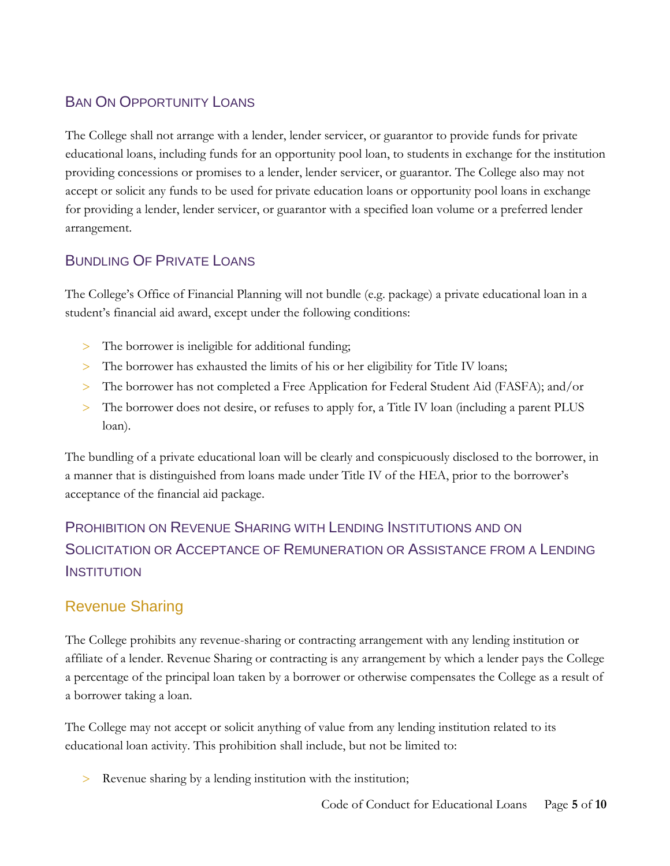# BAN ON OPPORTUNITY LOANS

The College shall not arrange with a lender, lender servicer, or guarantor to provide funds for private educational loans, including funds for an opportunity pool loan, to students in exchange for the institution providing concessions or promises to a lender, lender servicer, or guarantor. The College also may not accept or solicit any funds to be used for private education loans or opportunity pool loans in exchange for providing a lender, lender servicer, or guarantor with a specified loan volume or a preferred lender arrangement.

#### BUNDLING OF PRIVATE LOANS

The College's Office of Financial Planning will not bundle (e.g. package) a private educational loan in a student's financial aid award, except under the following conditions:

- The borrower is ineligible for additional funding;
- The borrower has exhausted the limits of his or her eligibility for Title IV loans;
- The borrower has not completed a Free Application for Federal Student Aid (FASFA); and/or
- The borrower does not desire, or refuses to apply for, a Title IV loan (including a parent PLUS loan).

The bundling of a private educational loan will be clearly and conspicuously disclosed to the borrower, in a manner that is distinguished from loans made under Title IV of the HEA, prior to the borrower's acceptance of the financial aid package.

# PROHIBITION ON REVENUE SHARING WITH LENDING INSTITUTIONS AND ON SOLICITATION OR ACCEPTANCE OF REMUNERATION OR ASSISTANCE FROM A LENDING **INSTITUTION**

# Revenue Sharing

The College prohibits any revenue-sharing or contracting arrangement with any lending institution or affiliate of a lender. Revenue Sharing or contracting is any arrangement by which a lender pays the College a percentage of the principal loan taken by a borrower or otherwise compensates the College as a result of a borrower taking a loan.

The College may not accept or solicit anything of value from any lending institution related to its educational loan activity. This prohibition shall include, but not be limited to:

Revenue sharing by a lending institution with the institution;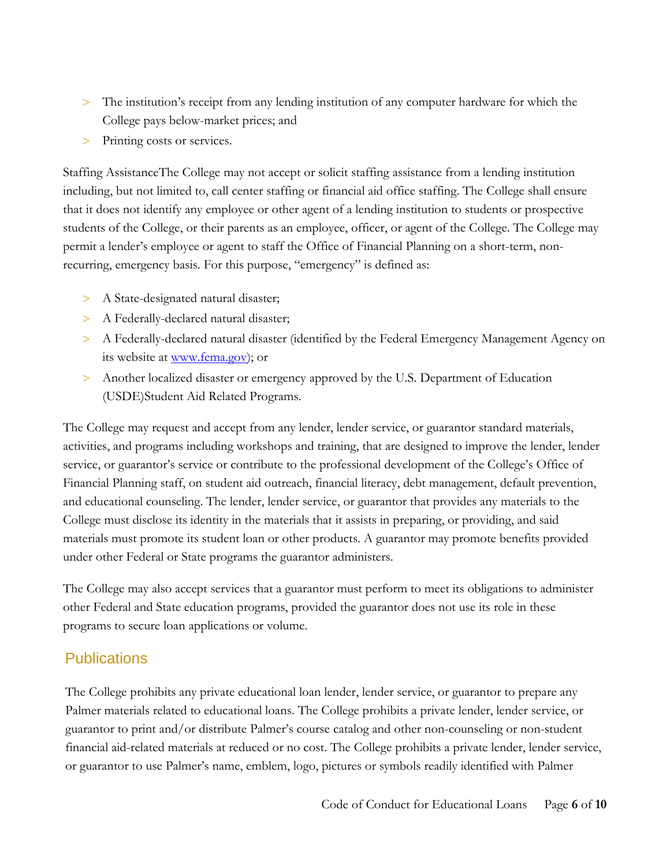- > The institution's receipt from any lending institution of any computer hardware for which the College pays below-market prices; and
- > Printing costs or services.

Staffing AssistanceThe College may not accept or solicit staffing assistance from a lending institution including, but not limited to, call center staffing or financial aid office staffing. The College shall ensure that it does not identify any employee or other agent of a lending institution to students or prospective students of the College, or their parents as an employee, officer, or agent of the College. The College may permit a lender's employee or agent to staff the Office of Financial Planning on a short-term, nonrecurring, emergency basis. For this purpose, "emergency" is defined as:

- > A State-designated natural disaster;
- > A Federally-declared natural disaster;
- A Federally-declared natural disaster (identified by the Federal Emergency Management Agency on its website at <u>www.fema.gov</u>); or
- Another localized disaster or emergency approved by the U.S. Department of Education (USDE)Student Aid Related Programs.

The College may request and accept from any lender, lender service, or guarantor standard materials, activities, and programs including workshops and training, that are designed to improve the lender, lender service, or guarantor's service or contribute to the professional development of the College's Office of Financial Planning staff, on student aid outreach, financial literacy, debt management, default prevention, and educational counseling. The lender, lender service, or guarantor that provides any materials to the College must disclose its identity in the materials that it assists in preparing, or providing, and said materials must promote its student loan or other products. A guarantor may promote benefits provided under other Federal or State programs the guarantor administers.

The College may also accept services that a guarantor must perform to meet its obligations to administer other Federal and State education programs, provided the guarantor does not use its role in these programs to secure loan applications or volume.

#### **Publications**

The College prohibits any private educational loan lender, lender service, or guarantor to prepare any Palmer materials related to educational loans. The College prohibits a private lender, lender service, or guarantor to print and/or distribute Palmer's course catalog and other non-counseling or non-student financial aid-related materials at reduced or no cost. The College prohibits a private lender, lender service, or guarantor to use Palmer's name, emblem, logo, pictures or symbols readily identified with Palmer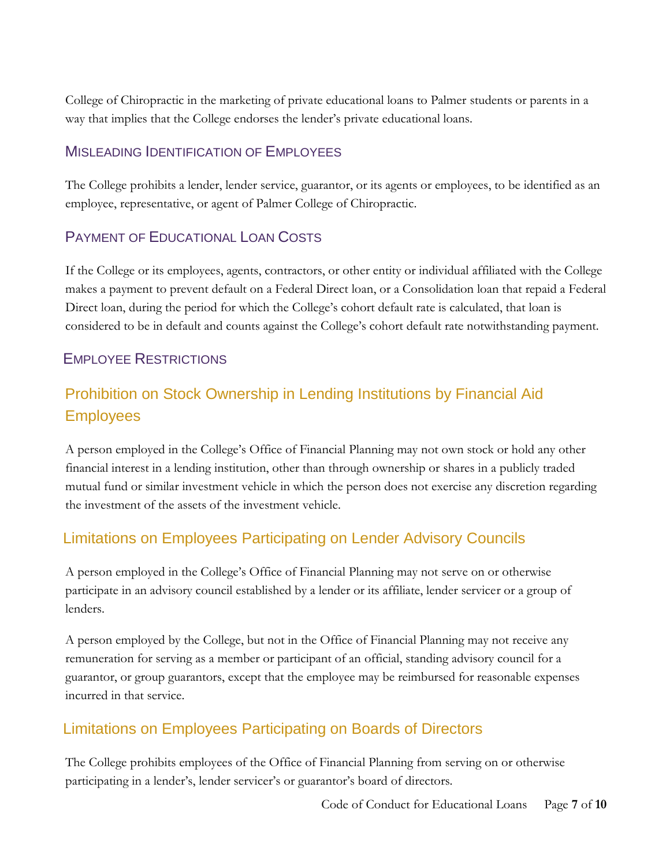College of Chiropractic in the marketing of private educational loans to Palmer students or parents in a way that implies that the College endorses the lender's private educational loans.

#### MISLEADING IDENTIFICATION OF EMPLOYEES

The College prohibits a lender, lender service, guarantor, or its agents or employees, to be identified as an employee, representative, or agent of Palmer College of Chiropractic.

#### PAYMENT OF EDUCATIONAL LOAN COSTS

If the College or its employees, agents, contractors, or other entity or individual affiliated with the College makes a payment to prevent default on a Federal Direct loan, or a Consolidation loan that repaid a Federal Direct loan, during the period for which the College's cohort default rate is calculated, that loan is considered to be in default and counts against the College's cohort default rate notwithstanding payment.

### EMPLOYEE RESTRICTIONS

# Prohibition on Stock Ownership in Lending Institutions by Financial Aid **Employees**

A person employed in the College's Office of Financial Planning may not own stock or hold any other financial interest in a lending institution, other than through ownership or shares in a publicly traded mutual fund or similar investment vehicle in which the person does not exercise any discretion regarding the investment of the assets of the investment vehicle.

# Limitations on Employees Participating on Lender Advisory Councils

A person employed in the College's Office of Financial Planning may not serve on or otherwise participate in an advisory council established by a lender or its affiliate, lender servicer or a group of lenders.

A person employed by the College, but not in the Office of Financial Planning may not receive any remuneration for serving as a member or participant of an official, standing advisory council for a guarantor, or group guarantors, except that the employee may be reimbursed for reasonable expenses incurred in that service.

# Limitations on Employees Participating on Boards of Directors

The College prohibits employees of the Office of Financial Planning from serving on or otherwise participating in a lender's, lender servicer's or guarantor's board of directors.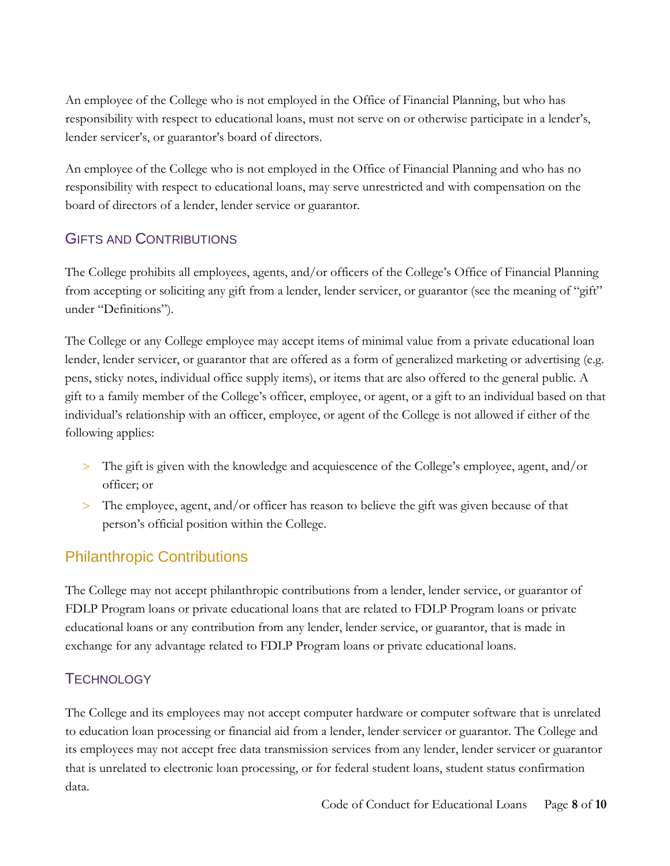An employee of the College who is not employed in the Office of Financial Planning, but who has responsibility with respect to educational loans, must not serve on or otherwise participate in a lender's, lender servicer's, or guarantor's board of directors.

An employee of the College who is not employed in the Office of Financial Planning and who has no responsibility with respect to educational loans, may serve unrestricted and with compensation on the board of directors of a lender, lender service or guarantor.

#### GIFTS AND CONTRIBUTIONS

The College prohibits all employees, agents, and/or officers of the College's Office of Financial Planning from accepting or soliciting any gift from a lender, lender servicer, or guarantor (see the meaning of "gift" under "Definitions").

The College or any College employee may accept items of minimal value from a private educational loan lender, lender servicer, or guarantor that are offered as a form of generalized marketing or advertising (e.g. pens, sticky notes, individual office supply items), or items that are also offered to the general public. A gift to a family member of the College's officer, employee, or agent, or a gift to an individual based on that individual's relationship with an officer, employee, or agent of the College is not allowed if either of the following applies:

- The gift is given with the knowledge and acquiescence of the College's employee, agent, and/or officer; or
- The employee, agent, and/or officer has reason to believe the gift was given because of that person's official position within the College.

# Philanthropic Contributions

The College may not accept philanthropic contributions from a lender, lender service, or guarantor of FDLP Program loans or private educational loans that are related to FDLP Program loans or private educational loans or any contribution from any lender, lender service, or guarantor, that is made in exchange for any advantage related to FDLP Program loans or private educational loans.

#### **TECHNOLOGY**

The College and its employees may not accept computer hardware or computer software that is unrelated to education loan processing or financial aid from a lender, lender servicer or guarantor. The College and its employees may not accept free data transmission services from any lender, lender servicer or guarantor that is unrelated to electronic loan processing, or for federal student loans, student status confirmation data.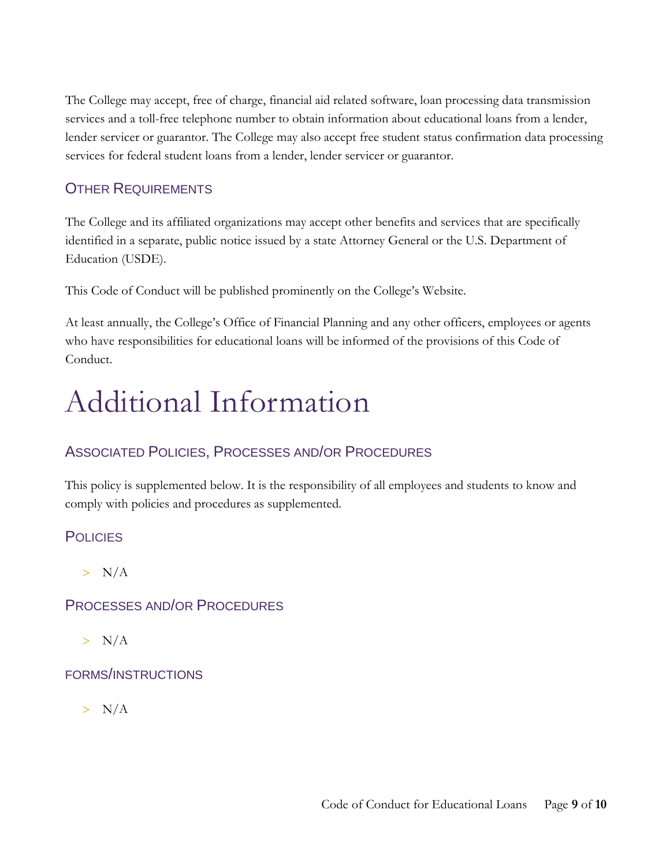The College may accept, free of charge, financial aid related software, loan processing data transmission services and a toll-free telephone number to obtain information about educational loans from a lender, lender servicer or guarantor. The College may also accept free student status confirmation data processing services for federal student loans from a lender, lender servicer or guarantor.

#### OTHER REQUIREMENTS

The College and its affiliated organizations may accept other benefits and services that are specifically identified in a separate, public notice issued by a state Attorney General or the U.S. Department of Education (USDE).

This Code of Conduct will be published prominently on the College's Website.

At least annually, the College's Office of Financial Planning and any other officers, employees or agents who have responsibilities for educational loans will be informed of the provisions of this Code of Conduct.

# Additional Information

#### ASSOCIATED POLICIES, PROCESSES AND/OR PROCEDURES

This policy is supplemented below. It is the responsibility of all employees and students to know and comply with policies and procedures as supplemented.

#### **POLICIES**

 $> N/A$ 

#### PROCESSES AND/OR PROCEDURES

 $> N/A$ 

#### FORMS/INSTRUCTIONS

 $> N/A$